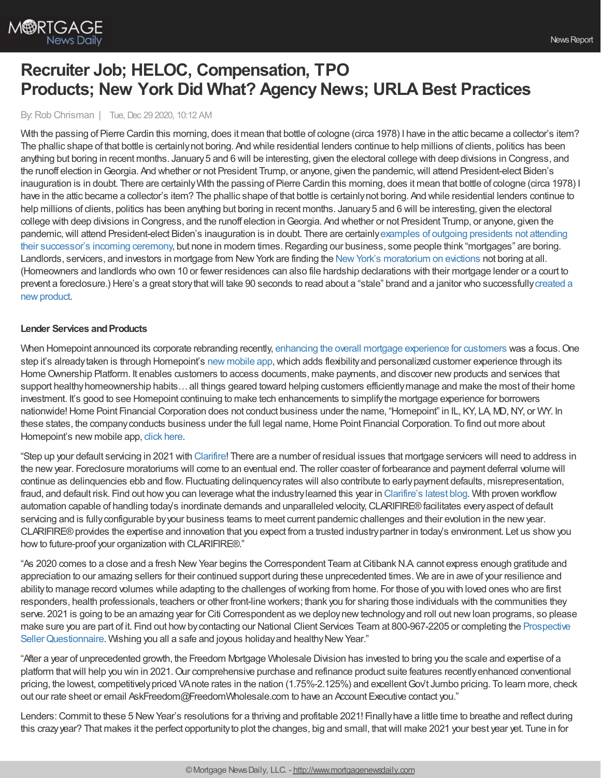

# **Recruiter Job; HELOC, Compensation, TPO Products; New York Did What? Agency News; URLA Best Practices**

By: Rob Chrisman | Tue, Dec 29 2020, 10:12 AM

With the passing of Pierre Cardin this morning, does it mean that bottle of cologne (circa 1978) I have in the attic became a collector's item? The phallic shape of that bottle is certainlynot boring. And while residential lenders continue to help millions of clients, politics has been anything but boring in recent months. January5 and 6 will be interesting, given the electoral college with deep divisions in Congress, and the runoff election in Georgia. And whether or not President Trump, or anyone, given the pandemic, will attend President-elect Biden's inauguration is in doubt. There are certainlyWith the passing of Pierre Cardin this morning, does it mean that bottle of cologne (circa 1978) I have in the attic became a collector's item? The phallic shape of that bottle is certainlynot boring. And while residential lenders continue to help millions of clients, politics has been anything but boring in recent months. January 5 and 6 will be interesting, given the electoral college with deep divisions in Congress, and the runoff election in Georgia. And whether or not President Trump, or anyone, given the pandemic, will attend President-elect Biden's inauguration is in doubt. There are certainly examples of outgoing presidents not attending their successor's incoming ceremony, but none in modern times. Regarding our business, some people think "mortgages" are boring. Landlords, servicers, and investors in mortgage from New York are finding the New York's [moratorium](https://www.npr.org/sections/coronavirus-live-updates/2020/12/29/951042050/new-york-approves-eviction-moratorium-until-may) on evictions not boring at all. (Homeowners and landlords who own 10 or fewer residences can also file hardship declarations with their mortgage lender or a court to prevent a foreclosure.) Here's a great story that will take 90 seconds to read about a "stale" brand and a janitor who successfully created a new product.

### **Lender Services and Products**

When Homepoint announced its corporate rebranding recently, enhancing the overall mortgage [experience](https://www.housingwire.com/articles/how-one-lender-is-putting-the-focus-back-on-people-and-relationships/) for customers was a focus. One step it's alreadytaken is through Homepoint's new [mobile](https://www.housingwire.com/articles/how-to-add-flexibility-and-personalization-to-the-borrower-experience/) app, which adds flexibility and personalized customer experience through its Home Ownership Platform. It enables customers to access documents, make payments, and discover new products and services that support healthy homeownership habits... all things geared toward helping customers efficiently manage and make the most of their home investment. It's good to see Homepoint continuing to make tech enhancements to simplifythe mortgage experience for borrowers nationwide! Home Point Financial Corporation does not conduct business under the name, "Homepoint" in IL, KY, LA, MD, NY, or WY. In these states, the company conducts business under the full legal name, Home Point Financial Corporation. To find out more about Homepoint's new mobile app, click [here](https://www.housingwire.com/articles/how-to-add-flexibility-and-personalization-to-the-borrower-experience/).

"Step up your default servicing in 2021 with [Clarifire](https://www.eclarifire.com/workflow-automation-software.aspx)! There are a number of residual issues that mortgage servicers will need to address in the newyear. Foreclosure moratoriums will come to an eventual end. The roller coaster of forbearance and payment deferral volume will continue as delinquencies ebb and flow. Fluctuating delinquencyrates will also contribute to earlypayment defaults, misrepresentation, fraud, and default risk. Find out howyou can leverage what the industrylearned this year in [Clarifire's](https://blog.eclarifire.com/what-a-difference-a-year-makes-for-mortgage-servicers?utm_campaign=Chrisman%20Ads&utm_source=ChrismanAds&utm_medium=Chrisman-Ads-2020-12-29) latest blog. With proven workflow automation capable of handling today's inordinate demands and unparalleled velocity,CLARIFIRE®facilitates everyaspect of default servicing and is fullyconfigurable byyour business teams to meet current pandemic challenges and their evolution in the newyear. CLARIFIRE® provides the expertise and innovation that you expect from a trusted industry partner in today's environment. Let us show you how to future-proof your organization with CLARIFIRE®."

"As 2020 comes to a close and a fresh New Year begins the Correspondent Team at Citibank N.A cannot express enough gratitude and appreciation to our amazing sellers for their continued support during these unprecedented times. We are in awe of your resilience and abilityto manage record volumes while adapting to the challenges ofworking from home. For those of you with loved ones who are first responders, health professionals, teachers or other front-line workers; thank you for sharing those individuals with the communities they serve. 2021 is going to be an amazing year for Citi Correspondent as we deploynewtechnologyand roll out newloan programs, so please make sure you are part of it. Find out howbycontacting our National Client Services Team at 800-967-2205 or completing the Prospective Seller Questionnaire. Wishing you all a safe and joyous holiday and healthy New Year."

"After a year of unprecedented growth, the Freedom Mortgage Wholesale Division has invested to bring you the scale and expertise of a platform thatwill help you win in 2021.Our comprehensive purchase and refinance product suite features recentlyenhanced conventional pricing, the lowest, competitivelypriced VAnote rates in the nation (1.75%-2.125%) and excellentGov't Jumbo pricing. To learn more, check out our rate sheet or email AskFreedom@FreedomWholesale.com to have an Account Executive contact you."

Lenders: Commit to these 5 New Year's resolutions for a thriving and profitable 2021! Finally have a little time to breathe and reflect during this crazyyear? That makes it the perfect opportunityto plot the changes, big and small, thatwill make 2021 your best year yet. Tune in for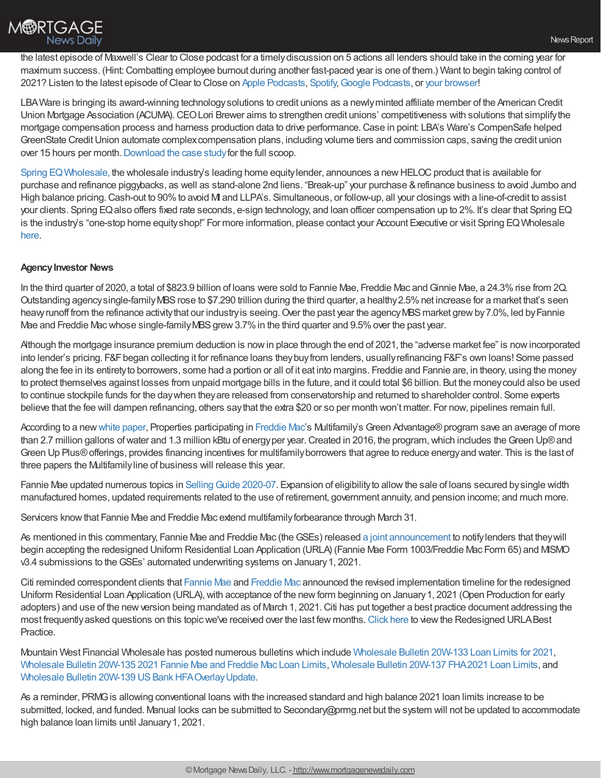

the latest episode of Maxwell's Clear to Close podcast for a timelydiscussion on 5 actions all lenders should take in the coming year for maximum success. (Hint:Combatting employee burnout during another fast-paced year is one of them.) Want to begin taking control of 2021? Listen to the latest episode ofClear to Close on Apple [Podcasts](https://podcasts.apple.com/us/podcast/clear-to-close/id1488640280), [Spotify,](https://open.spotify.com/episode/2VifMgnT08dho7VgW80VMd?si=hFNVIR3bQnOjGiT6qUTG5A)Google [Podcasts](https://podcasts.google.com/feed/aHR0cHM6Ly9mZWVkcy5zaW1wbGVjYXN0LmNvbS96YmhEbDRvdA/episode/NGQ2NzlkYzYtOTE1Yy00YzMxLThmYmUtMThmZWRmZTc5YWU2?sa=X&ved=0CAUQkfYCahcKEwjY1fDBmuDtAhUAAAAAHQAAAAAQAQ), or your [browser!](https://himaxwell.com/podcast?utm_source=RC&utm_medium=RC_Content)

LBAWare is bringing its award-winning technologysolutions to credit unions as a newlyminted affiliate member of the American Credit Union Mortgage Association (ACUMA). CEO Lori Brewer aims to strengthen credit unions' competitiveness with solutions that simplify the mortgage compensation process and harness production data to drive performance.Case in point: LBA's Ware's CompenSafe helped GreenState Credit Union automate complex compensation plans, including volume tiers and commission caps, saving the credit union over 15 hours per month. [Download](https://bit.ly/3mudceX) the case study for the full scoop.

Spring EQ Wholesale, the wholesale industry's leading home equity lender, announces a new HELOC product that is available for purchase and refinance piggybacks, as well as stand-alone 2nd liens. "Break-up" your purchase &refinance business to avoid Jumbo and High balance pricing. Cash-out to 90% to avoid MI and LLPA's. Simultaneous, or follow-up, all your closings with a line-of-credit to assist your clients. Spring EQ also offers fixed rate seconds, e-sign technology, and loan officer compensation up to 2%. It's clear that Spring EQ is the industry's "one-stop home equityshop!" For more information, please contact your Account Executive or visit Spring EQWholesale [here.](https://www.wholesale.springeq.com/?utm_source=rc)

## **Agency Investor News**

In the third quarter of 2020, a total of \$823.9 billion of loans were sold to Fannie Mae, Freddie Mac and Ginnie Mae, a 24.3% rise from 2Q. Outstanding agencysingle-familyMBSrose to \$7.290 trillion during the third quarter, a healthy2.5%net increase for a market that's seen heavy runoff from the refinance activity that our industry is seeing. Over the past year the agency MBS market grew by 7.0%, led by Fannie Mae and Freddie Mac whose single-family MBS grew 3.7% in the third quarter and 9.5% over the past year.

Although the mortgage insurance premium deduction is nowin place through the end of 2021, the "adverse market fee" is nowincorporated into lender's pricing. F&F began collecting it for refinance loans they buy from lenders, usually refinancing F&F's own loans! Some passed along the fee in its entiretyto borrowers, some had a portion or all of it eat into margins. Freddie and Fannie are, in theory, using the money to protect themselves against losses from unpaid mortgage bills in the future, and it could total \$6 billion. But the moneycould also be used to continue stockpile funds for the daywhen theyare released from conservatorship and returned to shareholder control. Some experts believe that the fee will dampen refinancing, others saythat the extra \$20 or so per month won't matter. For now, pipelines remain full.

According to a new white [paper](https://mf.freddiemac.com/docs/2020-green-improvements-workforce-housing.pdf), Properties participating in [Freddie](http://www.freddiemac.com/) Mac's Multifamily's Green Advantage® program save an average of more than 2.7 million gallons of water and 1.3 million kBtu of energy per year. Created in 2016, the program, which includes the Green Up® and Green Up Plus®offerings, provides financing incentives for multifamilyborrowers that agree to reduce energyand water. This is the last of three papers the Multifamilyline of business will release this year.

Fannie Mae updated numerous topics in Selling Guide 2020-07. Expansion of eligibility to allow the sale of loans secured by single width manufactured homes, updated requirements related to the use of retirement, government annuity, and pension income; and much more.

Servicers knowthat Fannie Mae and Freddie Mac extend multifamilyforbearance through March 31.

As mentioned in this commentary, Fannie Mae and Freddie Mac (the GSEs) released a joint [announcement](https://sf.freddiemac.com/content/_assets/resources/pdf/update/joint-opp-announcement.pdf) to notify lenders that they will begin accepting the redesigned Uniform Residential Loan Application (URLA) (Fannie Mae Form 1003/Freddie Mac Form 65) and MISMO v3.4 submissions to theGSEs' automated underwriting systems on January1, 2021.

Citi reminded correspondent clients that [Fannie](https://singlefamily.fanniemae.com/delivering/uniform-mortgage-data-program/uniform-residential-loan-application) Mae and [Freddie](https://sf.freddiemac.com/tools-learning/uniform-mortgage-data-program/ulad) Mac announced the revised implementation timeline for the redesigned Uniform Residential Loan Application (URLA), with acceptance of the new form beginning on January 1, 2021 (Open Production for early adopters) and use of the newversion being mandated as of March 1, 2021.Citi has put together a best practice document addressing the most frequently asked questions on this topic we've received over the last few months. [Click](http://email.homeloans.citi.com/click/346359773532/c21d47a41b294314bf81ee3a317bb12c) here to view the Redesigned URLABest Practice.

Mountain West Financial Wholesale has posted numerous bulletins which include [Wholesale](http://sg1.mwfinc.com/ls/click?upn=PAcWt-2B7EB3BSGuI6OU3o5dvTusKmNwVJzfZ6OH28nlvYX-2FtF48W2hUIF08oZlshl9fPBAPx1EFphZ6D7iNZ-2BD-2BZiab55-2BNlPLbmSVQjJncRXmNq39ZJ2vZT7WYhSPxLWYkaSKXX5lIeySQ7Y5Xx4bUzN90JSr-2BwQokcuXTuz7RA5fkcWLDSueqVpbTNB-2B7MoqG8-2BV4XoeylrZoken-2BOZy4qAjNjib833lcRyOKD-2F5eYiheB-2FbFPKvF-2B-2FXiJKwQaeB4g1UK-2BTSOgyVJZFWH1tm10s0PSGc0tkgk0bnGcu-2BLDhKD76aT7lwmqPl41xzwWSDOsAzDtT7BtLJzyILFe1LTSZzEUHyfPH-2BIou-2F0VQi8Et0AptPxmCVewRXIIslMT7JY4OmWiEdCcuueBmJueLoNIf2lRkFFLJWSbNMLjlbPGhwcXmEI-2FrmGvDd4tY-2FjBa9ipHS-2BMhMOA00f68tDAbHHs4lJk-2FgRddGJLsaNEgzlgGDmAWdeg5wM-2BXoCj0dDRRCSFhqPHF-2BPAbW7BN1D6-2FbzKCGRU1a6ymmMfezzpvHbhD3VYFcWB-2FtzAiizBtE3RBZmeDebSbCbO0yPW30e-2FaeA-3D-3DSfue_nsxRNYUkMXYB3IyH-2Bw28TYELoM9YpzOtXrrlppkfzFjGpZbwd0bLMcf2RIKlkpDjM-2Bn-2Ffq2M2UxGGoIuHL-2F9D7blOs-2B5IpozlfrDCsllfj1ohwTRQ-2FTgFbvlMF6wD5quYnEraa9lOXnCVgT-2BAXn-2FeuadHQzIkcAbPbbPCnlWUtQwHabWYcORlo5byBl1yv1jNDGhmUj-2FIv2eNSM-2FKxQYgakeolGfUW9-2BjuN6Kpx1vqNZC8YBMOIvZcQdM-2FLU06CdIqiiWoXaZCHhzvGO4Yi9G6KYfEiMRLM-2BRBkC2ZN9dVM1FpKfkPgqMZHnng9RbHYcHzuTXP8F5-2FbJoqw2bKPmsB5i5eKcxHdqHWWAdUQMpjWYlbwDXG5tAkX1bGB4tX-2FUo-2BkK9U5Y6sB8OP4ZQa6jlD8soBVMGQIL2WGdce4nRyw-3D) Bulletin 20W-133 Loan Limits for 2021, [Wholesale](http://sg1.mwfinc.com/ls/click?upn=PAcWt-2B7EB3BSGuI6OU3o5dvTusKmNwVJzfZ6OH28nlvYX-2FtF48W2hUIF08oZlshl9fPBAPx1EFphZ6D7iNZ-2BD-2BZiab55-2BNlPLbmSVQjJncRXmNq39ZJ2vZT7WYhSPxLWYkaSKXX5lIeySQ7Y5Xx4bV4AiSdygSXnEs1BcftOfsV0zeMXhgdzrWyQ-2B6CCQE3DO9valtdBytJdCzYZdkh25MHKkzNjZCMrLLtwl89uFoNrGsplYpAZCnta4vWG-2BIxwhVWARWlLK2h4K7tzyRUDkJfgO0i84QYFngzpYEpRGd0-2FYTSZAQgd2cWJPDHkPn9VHlKxdXZCGGFRPKYL2zCKuOmyEvPlCMt2kPdkgjzGS4qhouuvebRFWfXbAbEPbqOFZW3dRqVIXbnPwcE393Q8Uf0-2F1lbk0IdcHrb1wB00IntRvocS1XMpmJW-2B6eNCsC-2BNAg5cVVF0IikWebGhmeIxmFqFnDVliN4B-2B5t9o36Cu7vn-2BgdPtRMnUCnB32ksfaQPJddKeYtOeKRfUu6D0K2iFNQZt3yzxUqcs581s4I7FGOcG3LXByPneHczfRbH2jcv1If1VfnUqWysd-2FJy2v7aQtGXWmvntAsZIqBZ8hJj-2BffYmp11PWbEkF-2FR-2FhWKrenJKZiO_nsxRNYUkMXYB3IyH-2Bw28TYELoM9YpzOtXrrlppkfzFjGpZbwd0bLMcf2RIKlkpDjM-2Bn-2Ffq2M2UxGGoIuHL-2F9D7blOs-2B5IpozlfrDCsllfj1ohwTRQ-2FTgFbvlMF6wD5quYnEraa9lOXnCVgT-2BAXn-2FeuadHQzIkcAbPbbPCnlWUtQwHabWYcORlo5byBl1yv1jNDGhmUj-2FIv2eNSM-2FKxQYgakeolGfUW9-2BjuN6Kpx1vqOnA04XsjdD5UxVQ2W1uArxmI5xlQJx-2BrG-2BH8yIWNPIPCe36-2Fp3YelD-2FVnEo8KvoFh-2FQSksIatft-2B0cBRIBoYVdLwOUAOxQfFShbrxFY0XsOfOsOeBExfVitRM5VNTfTerQXLU4KpWJyJOR6Ht-2Bjp3nJ6cEStVl7HpI8Qv3ioqEeXz0HtmY2fVpSgHXybAyJ8M-3D) Bulletin 20W-135 2021 Fannie Mae and Freddie Mac Loan Limits, [Wholesale](http://sg1.mwfinc.com/ls/click?upn=PAcWt-2B7EB3BSGuI6OU3o5dvTusKmNwVJzfZ6OH28nlvYX-2FtF48W2hUIF08oZlshl9fPBAPx1EFphZ6D7iNZ-2BD-2BZiab55-2BNlPLbmSVQjJncRXmNq39ZJ2vZT7WYhSPxLWYkaSKXX5lIeySQ7Y5Xx4bcFjZadmH6z7szKXk0w0StFuWNkU5Q7-2FemYueRKsLfTQkFzCRcJYGsM3k5mSCqfa7pO0xbeesjJytF8YqNDx3tszFz2EVMTWkzlSsSsWQyqL7NHnOibrkdDnfCiaCH-2FEIDuwhysW-2FBVGZtxsPQuFTvVCiLHUmt0NqpJ5F-2Bxb-2FmnDprPHLVdtBXYEbnbV-2Bj0xvjz3uEWcm8uoDYimwYrXAL1KqGviQL-2FiI6TkvTkCLSrbDGcqsor35YDZAlXeWq-2B4AhzLRTmByeWB53u4kSCwK-2F9hT82lHIVqHnq8LzFqsGa-2FnshsChwxCyJf32dRK7BvLEkE1hRI2yeta-2FD-2FDUCcOJbSucTPaGBj6Svp2ygDhYVBabSdauh2kFLy-2BBi9WAOvgQMFBEpz8bgawxKP0EaZF0r9VmH4g-2FpXTpI2hjF6n8hITwuSoOCynW1MGnGgeDiBks4fxOfVPf0FnVyxkqO4MXE-3Dmbjk_nsxRNYUkMXYB3IyH-2Bw28TYELoM9YpzOtXrrlppkfzFjGpZbwd0bLMcf2RIKlkpDjM-2Bn-2Ffq2M2UxGGoIuHL-2F9D7blOs-2B5IpozlfrDCsllfj1ohwTRQ-2FTgFbvlMF6wD5quYnEraa9lOXnCVgT-2BAXn-2FeuadHQzIkcAbPbbPCnlWUtQwHabWYcORlo5byBl1yv1jNDGhmUj-2FIv2eNSM-2FKxQYgakeolGfUW9-2BjuN6Kpx1vqNdwybhC3xDjhVtHlii9ynS15FR76AHXdfFjyF6We9FIPA2xKUDJZH5g-2BcijzjsL9Y12SO-2BkhIiMjIx4l72NC5BG0nbByRivItufkOpebenhoF3rxsuoyQJYPJcmXokCFNYZqSKw7gaYzDmzM1pxUHPixfJqDrMhyhRtWAXMnbsZc8dJbVHy7Ax3b2xngjxELY-3D) Bulletin 20W-137 FHA2021 Loan Limits, and Wholesale Bulletin 20W-139 US Bank HFA Overlay Update.

As a reminder, PRMGis allowing conventional loans with the increased standard and high balance 2021 loan limits increase to be submitted, locked, and funded. Manual locks can be submitted to Secondary@prmg.net but the system will not be updated to accommodate high balance loan limits until January 1, 2021.